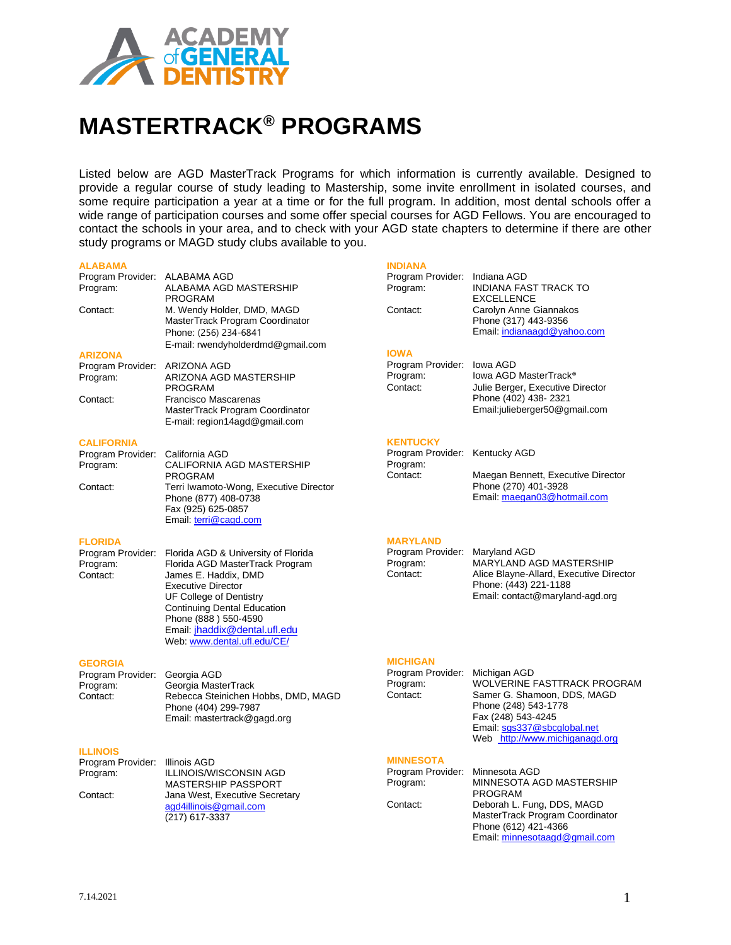

# **MASTERTRACK® PROGRAMS**

Listed below are AGD MasterTrack Programs for which information is currently available. Designed to provide a regular course of study leading to Mastership, some invite enrollment in isolated courses, and some require participation a year at a time or for the full program. In addition, most dental schools offer a wide range of participation courses and some offer special courses for AGD Fellows. You are encouraged to contact the schools in your area, and to check with your AGD state chapters to determine if there are other study programs or MAGD study clubs available to you.

## **ALABAMA**

| ALABAMA                                               |                                                                                                                                                                                                                                                                                                        | <b>INDIANA</b>                                         |                                                                                                                                                                           |
|-------------------------------------------------------|--------------------------------------------------------------------------------------------------------------------------------------------------------------------------------------------------------------------------------------------------------------------------------------------------------|--------------------------------------------------------|---------------------------------------------------------------------------------------------------------------------------------------------------------------------------|
| Program Provider: ALABAMA AGD<br>Program:             | ALABAMA AGD MASTERSHIP<br><b>PROGRAM</b>                                                                                                                                                                                                                                                               | Program Provider: Indiana AGD<br>Program:              | <b>INDIANA FAST TRACK TO</b><br><b>EXCELLENCE</b>                                                                                                                         |
| Contact:                                              | M. Wendy Holder, DMD, MAGD<br>MasterTrack Program Coordinator<br>Phone: (256) 234-6841<br>E-mail: rwendyholderdmd@gmail.com                                                                                                                                                                            | Contact:                                               | Carolyn Anne Giannakos<br>Phone (317) 443-9356<br>Email: indianaagd@yahoo.com                                                                                             |
| <b>ARIZONA</b>                                        |                                                                                                                                                                                                                                                                                                        | <b>IOWA</b>                                            |                                                                                                                                                                           |
| Program Provider: ARIZONA AGD<br>Program:             | ARIZONA AGD MASTERSHIP<br><b>PROGRAM</b>                                                                                                                                                                                                                                                               | Program Provider:<br>Program:<br>Contact:              | lowa AGD<br>lowa AGD MasterTrack <sup>®</sup><br>Julie Berger, Executive Director                                                                                         |
| Contact:                                              | Francisco Mascarenas<br>MasterTrack Program Coordinator<br>E-mail: region14agd@gmail.com                                                                                                                                                                                                               |                                                        | Phone (402) 438-2321<br>Email:julieberger50@gmail.com                                                                                                                     |
| <b>CALIFORNIA</b>                                     |                                                                                                                                                                                                                                                                                                        | <b>KENTUCKY</b>                                        |                                                                                                                                                                           |
| Program Provider: California AGD<br>Program:          | CALIFORNIA AGD MASTERSHIP                                                                                                                                                                                                                                                                              | Program Provider: Kentucky AGD<br>Program:<br>Contact: |                                                                                                                                                                           |
| Contact:                                              | <b>PROGRAM</b><br>Terri Iwamoto-Wong, Executive Director<br>Phone (877) 408-0738<br>Fax (925) 625-0857<br>Email: terri@cagd.com                                                                                                                                                                        |                                                        | Maegan Bennett, Executive Director<br>Phone (270) 401-3928<br>Email: maegan03@hotmail.com                                                                                 |
| <b>FLORIDA</b>                                        |                                                                                                                                                                                                                                                                                                        | <b>MARYLAND</b>                                        |                                                                                                                                                                           |
| Program:<br>Contact:                                  | Program Provider: Florida AGD & University of Florida<br>Florida AGD MasterTrack Program<br>James E. Haddix, DMD<br><b>Executive Director</b><br>UF College of Dentistry<br><b>Continuing Dental Education</b><br>Phone (888) 550-4590<br>Email: jhaddix@dental.ufl.edu<br>Web: www.dental.ufl.edu/CE/ | Program Provider:<br>Program:<br>Contact:              | Maryland AGD<br>MARYLAND AGD MASTERSHIP<br>Alice Blayne-Allard, Executive Director<br>Phone: (443) 221-1188<br>Email: contact@maryland-agd.org                            |
| <b>GEORGIA</b>                                        |                                                                                                                                                                                                                                                                                                        | <b>MICHIGAN</b>                                        |                                                                                                                                                                           |
| Program Provider: Georgia AGD<br>Program:<br>Contact: | Georgia MasterTrack<br>Rebecca Steinichen Hobbs, DMD, MAGD<br>Phone (404) 299-7987<br>Email: mastertrack@gagd.org                                                                                                                                                                                      | Program Provider: Michigan AGD<br>Program:<br>Contact: | WOLVERINE FASTTRACK PROGRAM<br>Samer G. Shamoon, DDS, MAGD<br>Phone (248) 543-1778<br>Fax (248) 543-4245<br>Email: sqs337@sbcqlobal.net<br>Web http://www.michiganagd.org |
| <b>ILLINOIS</b>                                       |                                                                                                                                                                                                                                                                                                        |                                                        |                                                                                                                                                                           |
| Program Provider: Illinois AGD<br>Program:            | <b>ILLINOIS/WISCONSIN AGD</b><br>MASTERSHIP PASSPORT                                                                                                                                                                                                                                                   | <b>MINNESOTA</b><br>Program Provider:<br>Program:      | Minnesota AGD<br>MINNESOTA AGD MASTERSHIP                                                                                                                                 |
| Contact:                                              | Jana West, Executive Secretary                                                                                                                                                                                                                                                                         |                                                        | <b>PROGRAM</b>                                                                                                                                                            |
|                                                       | agd4illinois@gmail.com<br>(217) 617-3337                                                                                                                                                                                                                                                               | Contact:                                               | Deborah L. Fung, DDS, MAGD<br>MasterTrack Program Coordinator<br>Phone (612) 421-4366                                                                                     |

Email[: minnesotaagd@gmail.com](mailto:minnesotaagd@gmail.com)